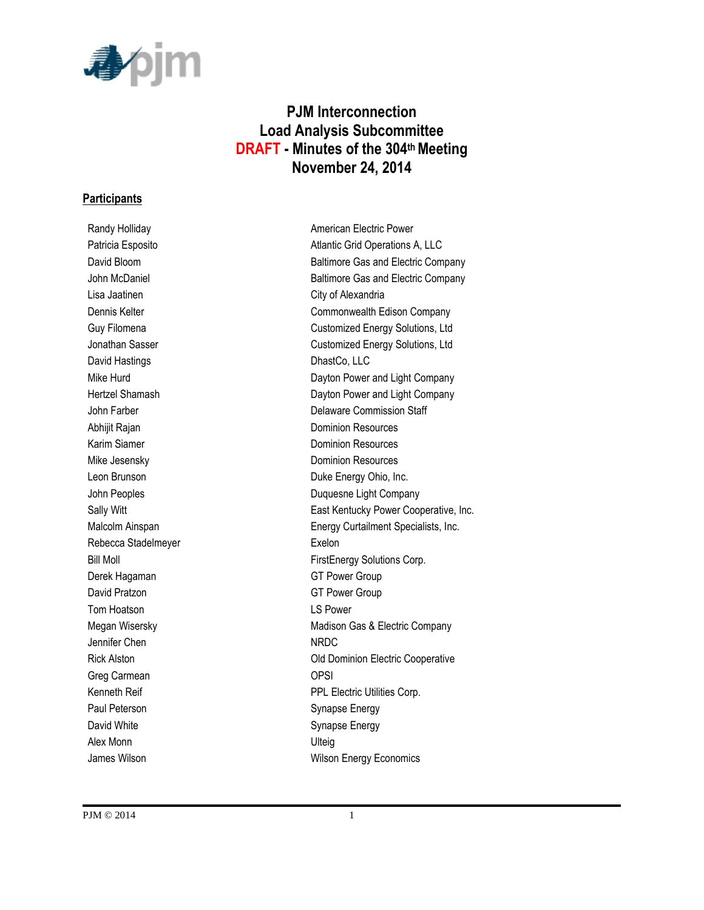

# **PJM Interconnection Load Analysis Subcommittee DRAFT - Minutes of the 304thMeeting November 24, 2014**

#### **Participants**

Lisa Jaatinen **City of Alexandria** David Hastings DhastCo, LLC Abhijit Rajan **Dominion Resources** Karim Siamer **Dominion Resources** Mike Jesensky **Dominion** Resources Rebecca Stadelmeyer **Exelon** Derek Hagaman GT Power Group David Pratzon GT Power Group Tom Hoatson LS Power Jennifer Chen NRDC Greg Carmean **OPSI** Paul Peterson Synapse Energy David White **Synapse Energy** Alex Monn Ulteig

Randy Holliday **American Electric Power** Patricia Esposito **Atlantic Grid Operations A, LLC** David Bloom **Baltimore Gas and Electric Company** John McDaniel **Baltimore Gas and Electric Company** Dennis Kelter Commonwealth Edison Company Guy Filomena **Customized Energy Solutions**, Ltd Jonathan Sasser Customized Energy Solutions, Ltd Mike Hurd **Dayton Power and Light Company** Hertzel Shamash **Dayton Power and Light Company** John Farber **Delaware Commission Staff** Leon Brunson **Duke Energy Ohio, Inc.** John Peoples **Duquesne Light Company** Sally Witt Sally Witt East Kentucky Power Cooperative, Inc. Malcolm Ainspan **Energy Curtailment Specialists, Inc.** Bill Moll **FirstEnergy Solutions Corp.** Megan Wisersky **Madison Gas & Electric Company** Madison Gas & Electric Company Rick Alston Old Dominion Electric Cooperative Kenneth Reif **PPL Electric Utilities Corp.** James Wilson **Million** Wilson Energy Economics